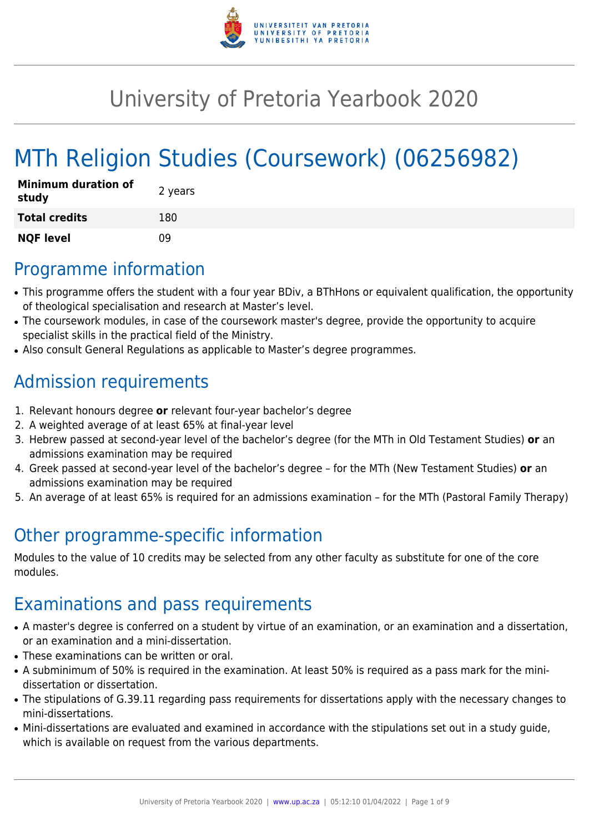

# University of Pretoria Yearbook 2020

# MTh Religion Studies (Coursework) (06256982)

| <b>Minimum duration of</b><br>study | 2 years |
|-------------------------------------|---------|
| <b>Total credits</b>                | 180     |
| <b>NQF level</b>                    | n۹      |

# Programme information

- This programme offers the student with a four year BDiv, a BThHons or equivalent qualification, the opportunity of theological specialisation and research at Master's level.
- The coursework modules, in case of the coursework master's degree, provide the opportunity to acquire specialist skills in the practical field of the Ministry.
- Also consult General Regulations as applicable to Master's degree programmes.

# Admission requirements

- 1. Relevant honours degree **or** relevant four-year bachelor's degree
- 2. A weighted average of at least 65% at final-year level
- 3. Hebrew passed at second-year level of the bachelor's degree (for the MTh in Old Testament Studies) **or** an admissions examination may be required
- 4. Greek passed at second-year level of the bachelor's degree for the MTh (New Testament Studies) **or** an admissions examination may be required
- 5. An average of at least 65% is required for an admissions examination for the MTh (Pastoral Family Therapy)

# Other programme-specific information

Modules to the value of 10 credits may be selected from any other faculty as substitute for one of the core modules.

# Examinations and pass requirements

- A master's degree is conferred on a student by virtue of an examination, or an examination and a dissertation, or an examination and a mini-dissertation.
- These examinations can be written or oral.
- A subminimum of 50% is required in the examination. At least 50% is required as a pass mark for the minidissertation or dissertation.
- The stipulations of G.39.11 regarding pass requirements for dissertations apply with the necessary changes to mini-dissertations.
- Mini-dissertations are evaluated and examined in accordance with the stipulations set out in a study guide, which is available on request from the various departments.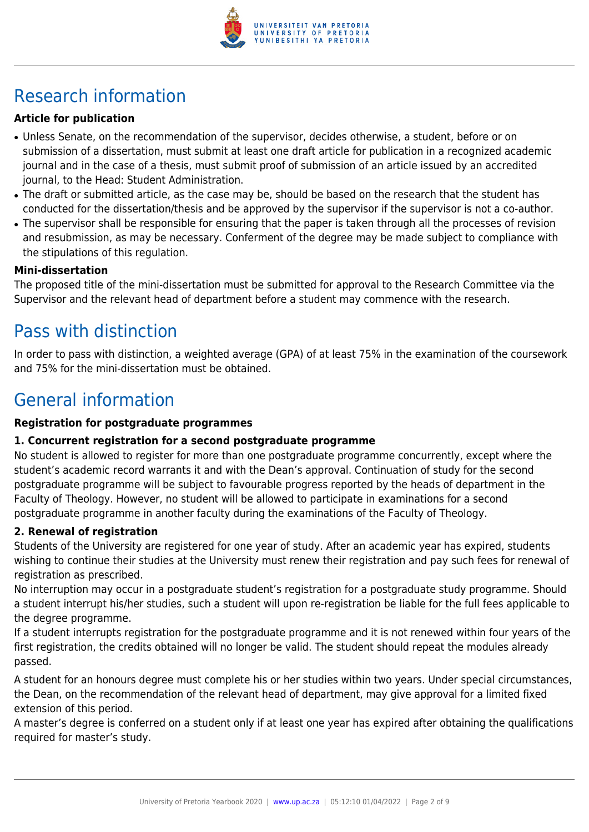

# Research information

# **Article for publication**

- Unless Senate, on the recommendation of the supervisor, decides otherwise, a student, before or on submission of a dissertation, must submit at least one draft article for publication in a recognized academic journal and in the case of a thesis, must submit proof of submission of an article issued by an accredited journal, to the Head: Student Administration.
- The draft or submitted article, as the case may be, should be based on the research that the student has conducted for the dissertation/thesis and be approved by the supervisor if the supervisor is not a co-author.
- The supervisor shall be responsible for ensuring that the paper is taken through all the processes of revision and resubmission, as may be necessary. Conferment of the degree may be made subject to compliance with the stipulations of this regulation.

#### **Mini-dissertation**

The proposed title of the mini-dissertation must be submitted for approval to the Research Committee via the Supervisor and the relevant head of department before a student may commence with the research.

# Pass with distinction

In order to pass with distinction, a weighted average (GPA) of at least 75% in the examination of the coursework and 75% for the mini-dissertation must be obtained.

# General information

### **Registration for postgraduate programmes**

# **1. Concurrent registration for a second postgraduate programme**

No student is allowed to register for more than one postgraduate programme concurrently, except where the student's academic record warrants it and with the Dean's approval. Continuation of study for the second postgraduate programme will be subject to favourable progress reported by the heads of department in the Faculty of Theology. However, no student will be allowed to participate in examinations for a second postgraduate programme in another faculty during the examinations of the Faculty of Theology.

# **2. Renewal of registration**

Students of the University are registered for one year of study. After an academic year has expired, students wishing to continue their studies at the University must renew their registration and pay such fees for renewal of registration as prescribed.

No interruption may occur in a postgraduate student's registration for a postgraduate study programme. Should a student interrupt his/her studies, such a student will upon re-registration be liable for the full fees applicable to the degree programme.

If a student interrupts registration for the postgraduate programme and it is not renewed within four years of the first registration, the credits obtained will no longer be valid. The student should repeat the modules already passed.

A student for an honours degree must complete his or her studies within two years. Under special circumstances, the Dean, on the recommendation of the relevant head of department, may give approval for a limited fixed extension of this period.

A master's degree is conferred on a student only if at least one year has expired after obtaining the qualifications required for master's study.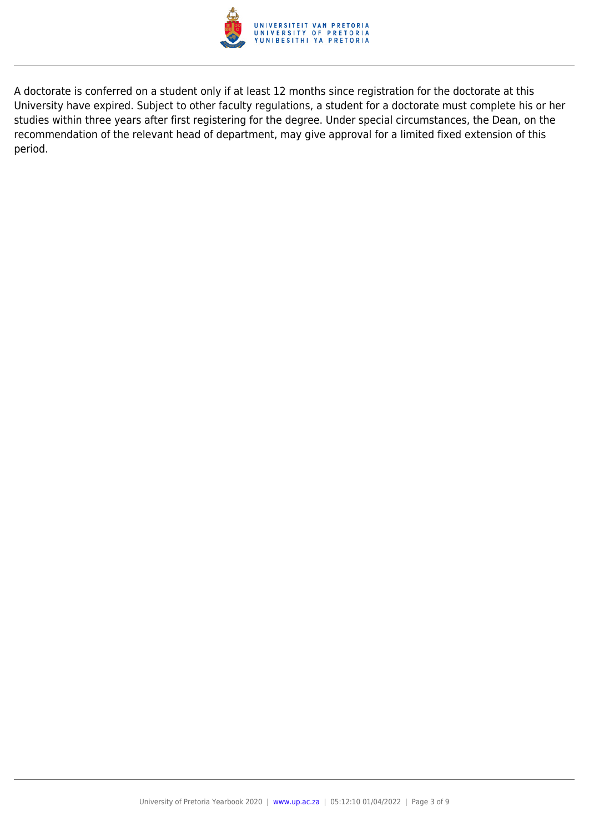

A doctorate is conferred on a student only if at least 12 months since registration for the doctorate at this University have expired. Subject to other faculty regulations, a student for a doctorate must complete his or her studies within three years after first registering for the degree. Under special circumstances, the Dean, on the recommendation of the relevant head of department, may give approval for a limited fixed extension of this period.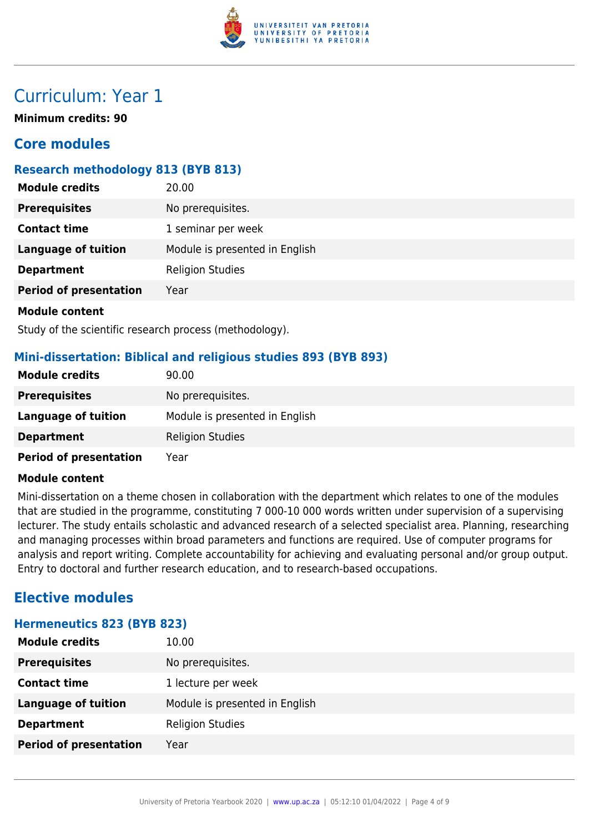

# Curriculum: Year 1

**Minimum credits: 90**

# **Core modules**

# **Research methodology 813 (BYB 813)**

| <b>Module credits</b>         | 20.00                          |
|-------------------------------|--------------------------------|
| <b>Prerequisites</b>          | No prerequisites.              |
| <b>Contact time</b>           | 1 seminar per week             |
| <b>Language of tuition</b>    | Module is presented in English |
| <b>Department</b>             | <b>Religion Studies</b>        |
| <b>Period of presentation</b> | Year                           |
| <b>Module content</b>         |                                |

Study of the scientific research process (methodology).

# **Mini-dissertation: Biblical and religious studies 893 (BYB 893)**

| <b>Module credits</b>         | 90.00                          |
|-------------------------------|--------------------------------|
| <b>Prerequisites</b>          | No prerequisites.              |
| Language of tuition           | Module is presented in English |
| <b>Department</b>             | <b>Religion Studies</b>        |
| <b>Period of presentation</b> | Year                           |

#### **Module content**

Mini-dissertation on a theme chosen in collaboration with the department which relates to one of the modules that are studied in the programme, constituting 7 000-10 000 words written under supervision of a supervising lecturer. The study entails scholastic and advanced research of a selected specialist area. Planning, researching and managing processes within broad parameters and functions are required. Use of computer programs for analysis and report writing. Complete accountability for achieving and evaluating personal and/or group output. Entry to doctoral and further research education, and to research-based occupations.

# **Elective modules**

#### **Hermeneutics 823 (BYB 823)**

| <b>Module credits</b>         | 10.00                          |
|-------------------------------|--------------------------------|
| <b>Prerequisites</b>          | No prerequisites.              |
| <b>Contact time</b>           | 1 lecture per week             |
| <b>Language of tuition</b>    | Module is presented in English |
| <b>Department</b>             | <b>Religion Studies</b>        |
| <b>Period of presentation</b> | Year                           |
|                               |                                |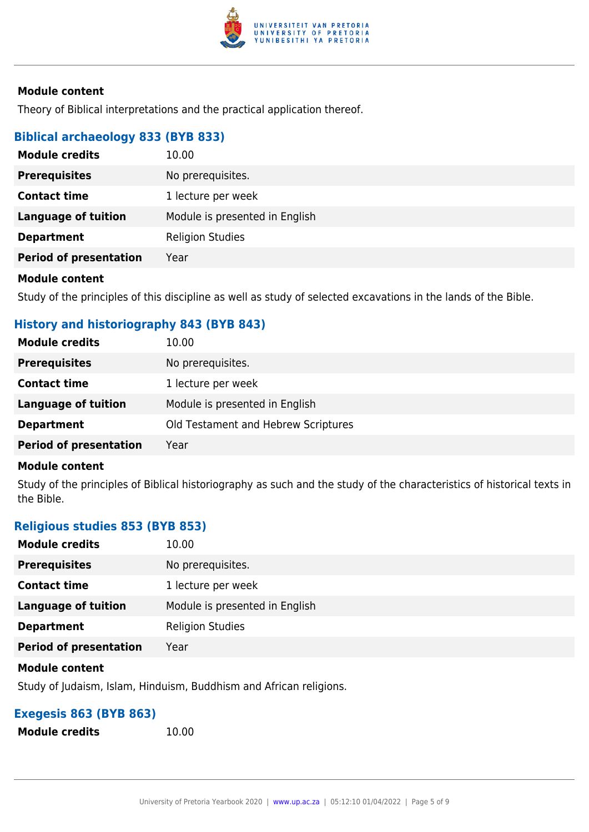

Theory of Biblical interpretations and the practical application thereof.

# **Biblical archaeology 833 (BYB 833)**

| <b>Module credits</b>         | 10.00                          |
|-------------------------------|--------------------------------|
| <b>Prerequisites</b>          | No prerequisites.              |
| <b>Contact time</b>           | 1 lecture per week             |
| <b>Language of tuition</b>    | Module is presented in English |
| <b>Department</b>             | <b>Religion Studies</b>        |
| <b>Period of presentation</b> | Year                           |
|                               |                                |

#### **Module content**

Study of the principles of this discipline as well as study of selected excavations in the lands of the Bible.

# **History and historiography 843 (BYB 843)**

| <b>Module credits</b>         | 10.00                               |
|-------------------------------|-------------------------------------|
| <b>Prerequisites</b>          | No prerequisites.                   |
| <b>Contact time</b>           | 1 lecture per week                  |
| Language of tuition           | Module is presented in English      |
| <b>Department</b>             | Old Testament and Hebrew Scriptures |
| <b>Period of presentation</b> | Year                                |

#### **Module content**

Study of the principles of Biblical historiography as such and the study of the characteristics of historical texts in the Bible.

# **Religious studies 853 (BYB 853)**

| <b>Module credits</b>         | 10.00                          |
|-------------------------------|--------------------------------|
| <b>Prerequisites</b>          | No prerequisites.              |
| <b>Contact time</b>           | 1 lecture per week             |
| <b>Language of tuition</b>    | Module is presented in English |
| <b>Department</b>             | <b>Religion Studies</b>        |
| <b>Period of presentation</b> | Year                           |

#### **Module content**

Study of Judaism, Islam, Hinduism, Buddhism and African religions.

# **Exegesis 863 (BYB 863)**

**Module credits** 10.00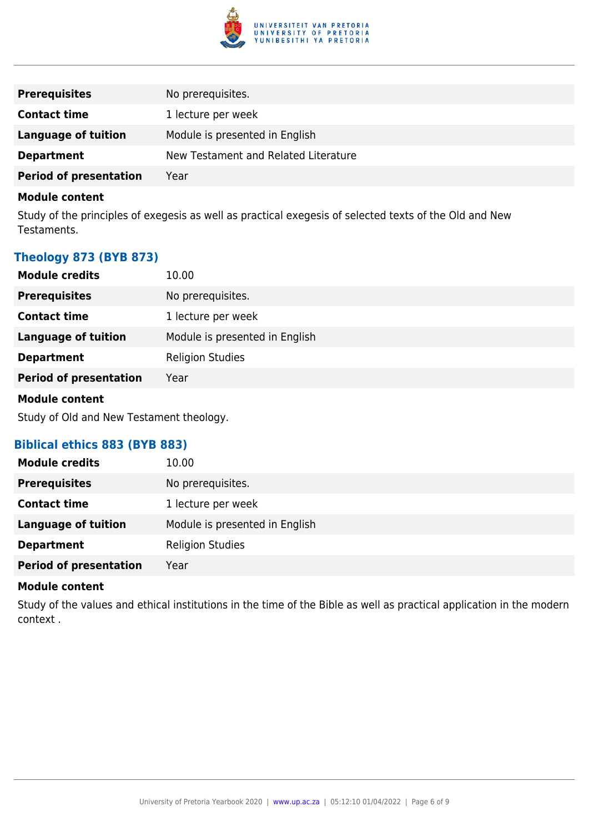

| <b>Prerequisites</b>          | No prerequisites.                    |
|-------------------------------|--------------------------------------|
| <b>Contact time</b>           | 1 lecture per week                   |
| Language of tuition           | Module is presented in English       |
| <b>Department</b>             | New Testament and Related Literature |
| <b>Period of presentation</b> | Year                                 |

Study of the principles of exegesis as well as practical exegesis of selected texts of the Old and New Testaments.

# **Theology 873 (BYB 873)**

| <b>Module credits</b>         | 10.00                          |
|-------------------------------|--------------------------------|
| <b>Prerequisites</b>          | No prerequisites.              |
| <b>Contact time</b>           | 1 lecture per week             |
| <b>Language of tuition</b>    | Module is presented in English |
| <b>Department</b>             | <b>Religion Studies</b>        |
| <b>Period of presentation</b> | Year                           |
|                               |                                |

#### **Module content**

Study of Old and New Testament theology.

# **Biblical ethics 883 (BYB 883)**

| <b>Module credits</b>         | 10.00                          |
|-------------------------------|--------------------------------|
| <b>Prerequisites</b>          | No prerequisites.              |
| <b>Contact time</b>           | 1 lecture per week             |
| <b>Language of tuition</b>    | Module is presented in English |
| <b>Department</b>             | <b>Religion Studies</b>        |
| <b>Period of presentation</b> | Year                           |

#### **Module content**

Study of the values and ethical institutions in the time of the Bible as well as practical application in the modern context .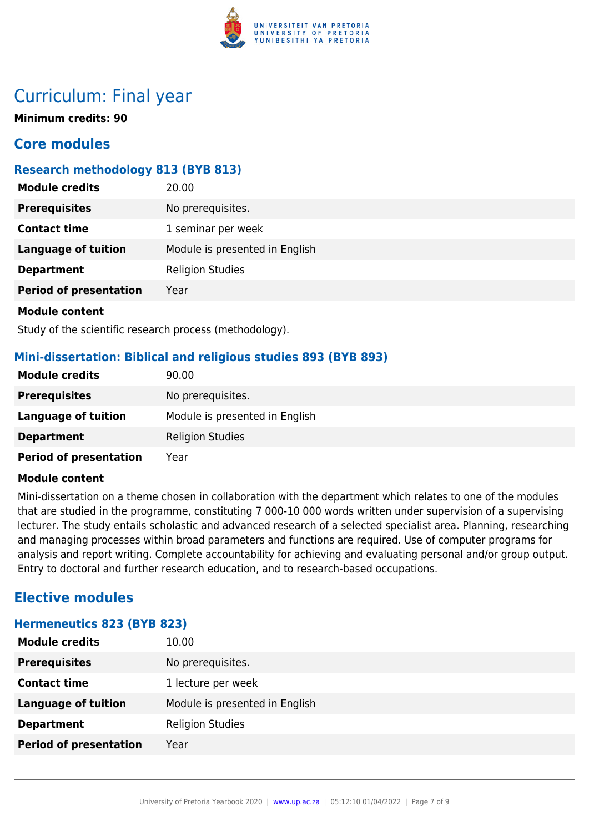

# Curriculum: Final year

**Minimum credits: 90**

# **Core modules**

# **Research methodology 813 (BYB 813)**

| <b>Module credits</b>         | 20.00                          |
|-------------------------------|--------------------------------|
| <b>Prerequisites</b>          | No prerequisites.              |
| <b>Contact time</b>           | 1 seminar per week             |
| <b>Language of tuition</b>    | Module is presented in English |
| <b>Department</b>             | <b>Religion Studies</b>        |
| <b>Period of presentation</b> | Year                           |
| <b>Module content</b>         |                                |

Study of the scientific research process (methodology).

# **Mini-dissertation: Biblical and religious studies 893 (BYB 893)**

| <b>Module credits</b>         | 90.00                          |
|-------------------------------|--------------------------------|
| <b>Prerequisites</b>          | No prerequisites.              |
| Language of tuition           | Module is presented in English |
| <b>Department</b>             | <b>Religion Studies</b>        |
| <b>Period of presentation</b> | Year                           |

#### **Module content**

Mini-dissertation on a theme chosen in collaboration with the department which relates to one of the modules that are studied in the programme, constituting 7 000-10 000 words written under supervision of a supervising lecturer. The study entails scholastic and advanced research of a selected specialist area. Planning, researching and managing processes within broad parameters and functions are required. Use of computer programs for analysis and report writing. Complete accountability for achieving and evaluating personal and/or group output. Entry to doctoral and further research education, and to research-based occupations.

# **Elective modules**

#### **Hermeneutics 823 (BYB 823)**

| <b>Module credits</b>         | 10.00                          |
|-------------------------------|--------------------------------|
| <b>Prerequisites</b>          | No prerequisites.              |
| <b>Contact time</b>           | 1 lecture per week             |
| <b>Language of tuition</b>    | Module is presented in English |
| <b>Department</b>             | <b>Religion Studies</b>        |
| <b>Period of presentation</b> | Year                           |
|                               |                                |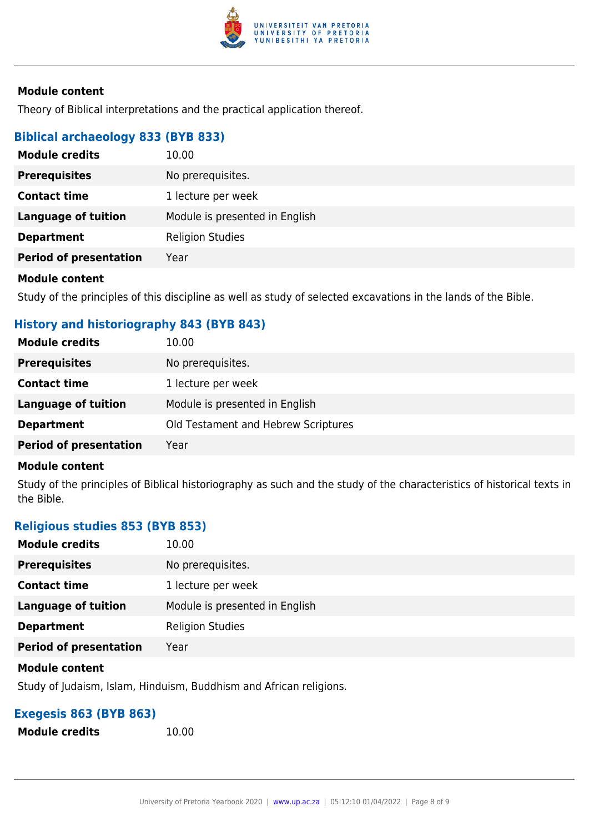

Theory of Biblical interpretations and the practical application thereof.

# **Biblical archaeology 833 (BYB 833)**

| <b>Module credits</b>         | 10.00                          |
|-------------------------------|--------------------------------|
| <b>Prerequisites</b>          | No prerequisites.              |
| <b>Contact time</b>           | 1 lecture per week             |
| <b>Language of tuition</b>    | Module is presented in English |
| <b>Department</b>             | <b>Religion Studies</b>        |
| <b>Period of presentation</b> | Year                           |
|                               |                                |

#### **Module content**

Study of the principles of this discipline as well as study of selected excavations in the lands of the Bible.

# **History and historiography 843 (BYB 843)**

| <b>Module credits</b>         | 10.00                               |
|-------------------------------|-------------------------------------|
| <b>Prerequisites</b>          | No prerequisites.                   |
| <b>Contact time</b>           | 1 lecture per week                  |
| Language of tuition           | Module is presented in English      |
| <b>Department</b>             | Old Testament and Hebrew Scriptures |
| <b>Period of presentation</b> | Year                                |

#### **Module content**

Study of the principles of Biblical historiography as such and the study of the characteristics of historical texts in the Bible.

#### **Religious studies 853 (BYB 853)**

| <b>Module credits</b>         | 10.00                          |
|-------------------------------|--------------------------------|
| <b>Prerequisites</b>          | No prerequisites.              |
| <b>Contact time</b>           | 1 lecture per week             |
| <b>Language of tuition</b>    | Module is presented in English |
| <b>Department</b>             | <b>Religion Studies</b>        |
| <b>Period of presentation</b> | Year                           |

#### **Module content**

Study of Judaism, Islam, Hinduism, Buddhism and African religions.

# **Exegesis 863 (BYB 863)**

**Module credits** 10.00